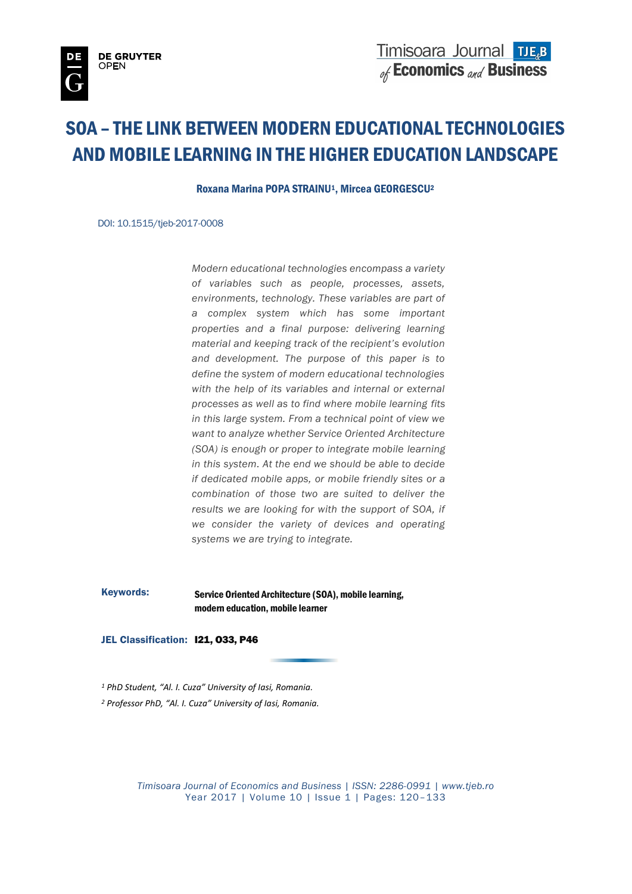# SOA – THE LINK BETWEEN MODERN EDUCATIONAL TECHNOLOGIES AND MOBILE LEARNING IN THE HIGHER EDUCATION LANDSCAPE

Roxana Marina POPA STRAINU<sup>1</sup>, Mircea GEORGESCU<sup>2</sup>

DOI: 10.1515/tjeb-2017-0008

*Modern educational technologies encompass a variety of variables such as people, processes, assets, environments, technology. These variables are part of a complex system which has some important properties and a final purpose: delivering learning material and keeping track of the recipient's evolution and development. The purpose of this paper is to define the system of modern educational technologies with the help of its variables and internal or external processes as well as to find where mobile learning fits in this large system. From a technical point of view we want to analyze whether Service Oriented Architecture (SOA) is enough or proper to integrate mobile learning in this system. At the end we should be able to decide if dedicated mobile apps, or mobile friendly sites or a combination of those two are suited to deliver the results we are looking for with the support of SOA, if we consider the variety of devices and operating systems we are trying to integrate.*

Keywords: Service Oriented Architecture (SOA), mobile learning, modern education, mobile learner

JEL Classification: **I21, 033, P46** 

*<sup>1</sup> PhD Student, "Al. I. Cuza" University of Iasi, Romania.*

*<sup>2</sup> Professor PhD, "Al. I. Cuza" University of Iasi, Romania.*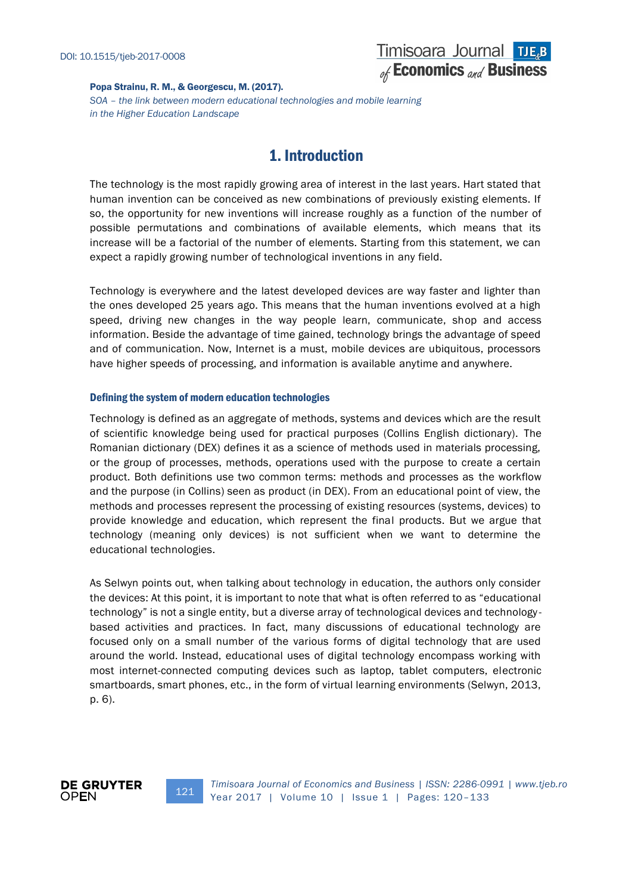#### Popa Strainu, R. M., & Georgescu, M. (2017). *SOA – the link between modern educational technologies and mobile learning in the Higher Education Landscape*

# 1. Introduction

The technology is the most rapidly growing area of interest in the last years. Hart stated that human invention can be conceived as new combinations of previously existing elements. If so, the opportunity for new inventions will increase roughly as a function of the number of possible permutations and combinations of available elements, which means that its increase will be a factorial of the number of elements. Starting from this statement, we can expect a rapidly growing number of technological inventions in any field.

Technology is everywhere and the latest developed devices are way faster and lighter than the ones developed 25 years ago. This means that the human inventions evolved at a high speed, driving new changes in the way people learn, communicate, shop and access information. Beside the advantage of time gained, technology brings the advantage of speed and of communication. Now, Internet is a must, mobile devices are ubiquitous, processors have higher speeds of processing, and information is available anytime and anywhere.

## Defining the system of modern education technologies

Technology is defined as an aggregate of methods, systems and devices which are the result of scientific knowledge being used for practical purposes (Collins English dictionary). The Romanian dictionary (DEX) defines it as a science of methods used in materials processing, or the group of processes, methods, operations used with the purpose to create a certain product. Both definitions use two common terms: methods and processes as the workflow and the purpose (in Collins) seen as product (in DEX). From an educational point of view, the methods and processes represent the processing of existing resources (systems, devices) to provide knowledge and education, which represent the final products. But we argue that technology (meaning only devices) is not sufficient when we want to determine the educational technologies.

As Selwyn points out, when talking about technology in education, the authors only consider the devices: At this point, it is important to note that what is often referred to as "educational technology" is not a single entity, but a diverse array of technological devices and technology based activities and practices. In fact, many discussions of educational technology are focused only on a small number of the various forms of digital technology that are used around the world. Instead, educational uses of digital technology encompass working with most internet-connected computing devices such as laptop, tablet computers, electronic smartboards, smart phones, etc., in the form of virtual learning environments (Selwyn, 2013, p. 6).

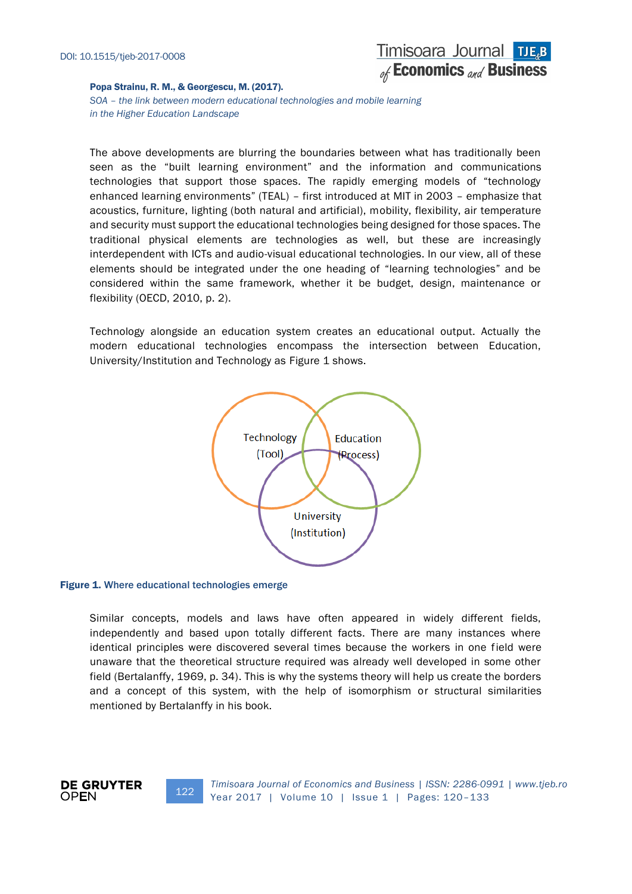*SOA – the link between modern educational technologies and mobile learning in the Higher Education Landscape*

The above developments are blurring the boundaries between what has traditionally been seen as the "built learning environment" and the information and communications technologies that support those spaces. The rapidly emerging models of "technology enhanced learning environments" (TEAL) – first introduced at MIT in 2003 – emphasize that acoustics, furniture, lighting (both natural and artificial), mobility, flexibility, air temperature and security must support the educational technologies being designed for those spaces. The traditional physical elements are technologies as well, but these are increasingly interdependent with ICTs and audio-visual educational technologies. In our view, all of these elements should be integrated under the one heading of "learning technologies" and be considered within the same framework, whether it be budget, design, maintenance or flexibility (OECD, 2010, p. 2).

Technology alongside an education system creates an educational output. Actually the modern educational technologies encompass the intersection between Education, University/Institution and Technology as Figure 1 shows.



#### Figure 1. Where educational technologies emerge

**DE GRUYTER** 

**OPEN** 

Similar concepts, models and laws have often appeared in widely different fields, independently and based upon totally different facts. There are many instances where identical principles were discovered several times because the workers in one field were unaware that the theoretical structure required was already well developed in some other field (Bertalanffy, 1969, p. 34). This is why the systems theory will help us create the borders and a concept of this system, with the help of isomorphism or structural similarities mentioned by Bertalanffy in his book.

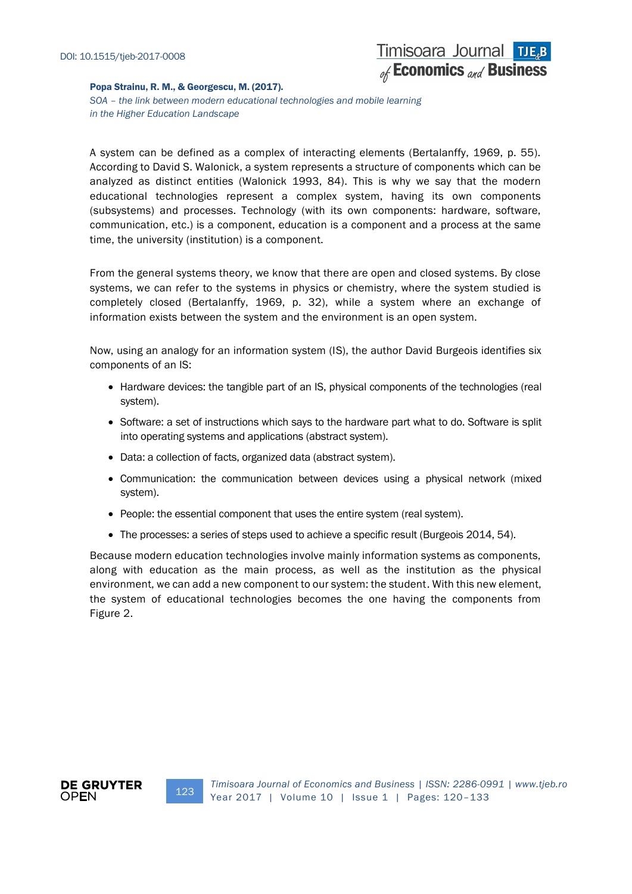*SOA – the link between modern educational technologies and mobile learning in the Higher Education Landscape*

A system can be defined as a complex of interacting elements (Bertalanffy, 1969, p. 55). According to David S. Walonick, a system represents a structure of components which can be analyzed as distinct entities (Walonick 1993, 84). This is why we say that the modern educational technologies represent a complex system, having its own components (subsystems) and processes. Technology (with its own components: hardware, software, communication, etc.) is a component, education is a component and a process at the same time, the university (institution) is a component.

From the general systems theory, we know that there are open and closed systems. By close systems, we can refer to the systems in physics or chemistry, where the system studied is completely closed (Bertalanffy, 1969, p. 32), while a system where an exchange of information exists between the system and the environment is an open system.

Now, using an analogy for an information system (IS), the author David Burgeois identifies six components of an IS:

- Hardware devices: the tangible part of an IS, physical components of the technologies (real system).
- Software: a set of instructions which says to the hardware part what to do. Software is split into operating systems and applications (abstract system).
- Data: a collection of facts, organized data (abstract system).
- Communication: the communication between devices using a physical network (mixed system).
- People: the essential component that uses the entire system (real system).
- The processes: a series of steps used to achieve a specific result (Burgeois 2014, 54).

Because modern education technologies involve mainly information systems as components, along with education as the main process, as well as the institution as the physical environment, we can add a new component to our system: the student. With this new element, the system of educational technologies becomes the one having the components from Figure 2.



123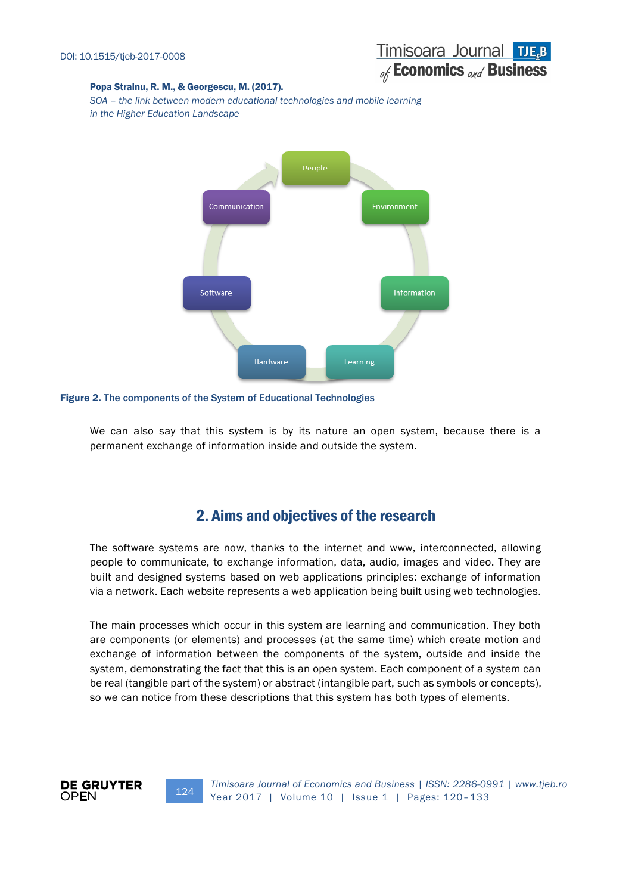# Timisoara Journal TJE<sub>R</sub>B of Economics and Business

## Popa Strainu, R. M., & Georgescu, M. (2017).

*SOA – the link between modern educational technologies and mobile learning in the Higher Education Landscape*



Figure 2. The components of the System of Educational Technologies

We can also say that this system is by its nature an open system, because there is a permanent exchange of information inside and outside the system.

# 2. Aims and objectives of the research

The software systems are now, thanks to the internet and www, interconnected, allowing people to communicate, to exchange information, data, audio, images and video. They are built and designed systems based on web applications principles: exchange of information via a network. Each website represents a web application being built using web technologies.

The main processes which occur in this system are learning and communication. They both are components (or elements) and processes (at the same time) which create motion and exchange of information between the components of the system, outside and inside the system, demonstrating the fact that this is an open system. Each component of a system can be real (tangible part of the system) or abstract (intangible part, such as symbols or concepts), so we can notice from these descriptions that this system has both types of elements.



124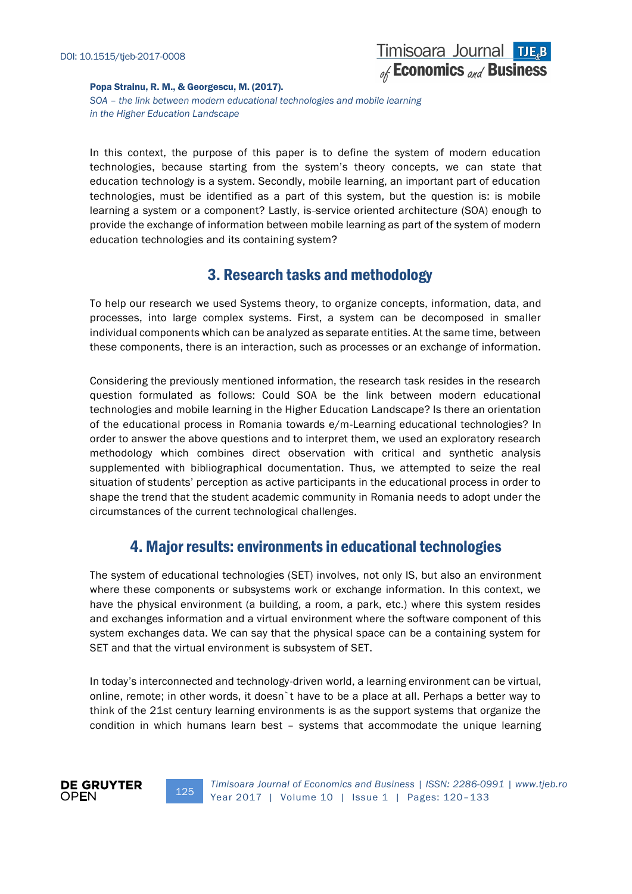

*SOA – the link between modern educational technologies and mobile learning in the Higher Education Landscape*

In this context, the purpose of this paper is to define the system of modern education technologies, because starting from the system's theory concepts, we can state that education technology is a system. Secondly, mobile learning, an important part of education technologies, must be identified as a part of this system, but the question is: is mobile learning a system or a component? Lastly, is-service oriented architecture (SOA) enough to provide the exchange of information between mobile learning as part of the system of modern education technologies and its containing system?

# 3. Research tasks and methodology

To help our research we used Systems theory, to organize concepts, information, data, and processes, into large complex systems. First, a system can be decomposed in smaller individual components which can be analyzed as separate entities. At the same time, between these components, there is an interaction, such as processes or an exchange of information.

Considering the previously mentioned information, the research task resides in the research question formulated as follows: Could SOA be the link between modern educational technologies and mobile learning in the Higher Education Landscape? Is there an orientation of the educational process in Romania towards e/m-Learning educational technologies? In order to answer the above questions and to interpret them, we used an exploratory research methodology which combines direct observation with critical and synthetic analysis supplemented with bibliographical documentation. Thus, we attempted to seize the real situation of students' perception as active participants in the educational process in order to shape the trend that the student academic community in Romania needs to adopt under the circumstances of the current technological challenges.

# 4. Major results: environments in educational technologies

The system of educational technologies (SET) involves, not only IS, but also an environment where these components or subsystems work or exchange information. In this context, we have the physical environment (a building, a room, a park, etc.) where this system resides and exchanges information and a virtual environment where the software component of this system exchanges data. We can say that the physical space can be a containing system for SET and that the virtual environment is subsystem of SET.

In today's interconnected and technology-driven world, a learning environment can be virtual, online, remote; in other words, it doesn`t have to be a place at all. Perhaps a better way to think of the 21st century learning environments is as the support systems that organize the condition in which humans learn best – systems that accommodate the unique learning



125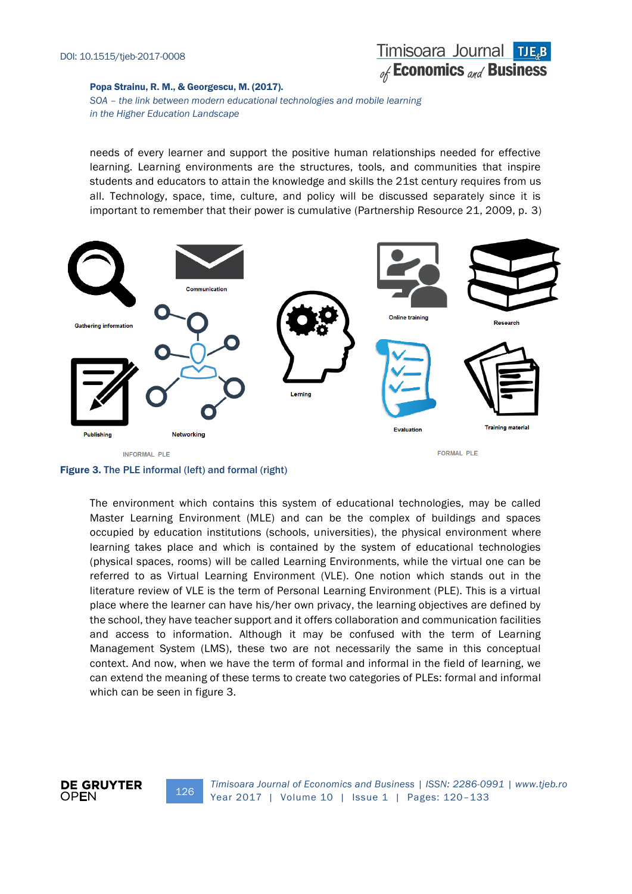

*SOA – the link between modern educational technologies and mobile learning in the Higher Education Landscape*

needs of every learner and support the positive human relationships needed for effective learning. Learning environments are the structures, tools, and communities that inspire students and educators to attain the knowledge and skills the 21st century requires from us all. Technology, space, time, culture, and policy will be discussed separately since it is important to remember that their power is cumulative (Partnership Resource 21, 2009, p. 3)



Figure 3. The PLE informal (left) and formal (right)

126

The environment which contains this system of educational technologies, may be called Master Learning Environment (MLE) and can be the complex of buildings and spaces occupied by education institutions (schools, universities), the physical environment where learning takes place and which is contained by the system of educational technologies (physical spaces, rooms) will be called Learning Environments, while the virtual one can be referred to as Virtual Learning Environment (VLE). One notion which stands out in the literature review of VLE is the term of Personal Learning Environment (PLE). This is a virtual place where the learner can have his/her own privacy, the learning objectives are defined by the school, they have teacher support and it offers collaboration and communication facilities and access to information. Although it may be confused with the term of Learning Management System (LMS), these two are not necessarily the same in this conceptual context. And now, when we have the term of formal and informal in the field of learning, we can extend the meaning of these terms to create two categories of PLEs: formal and informal which can be seen in figure 3.

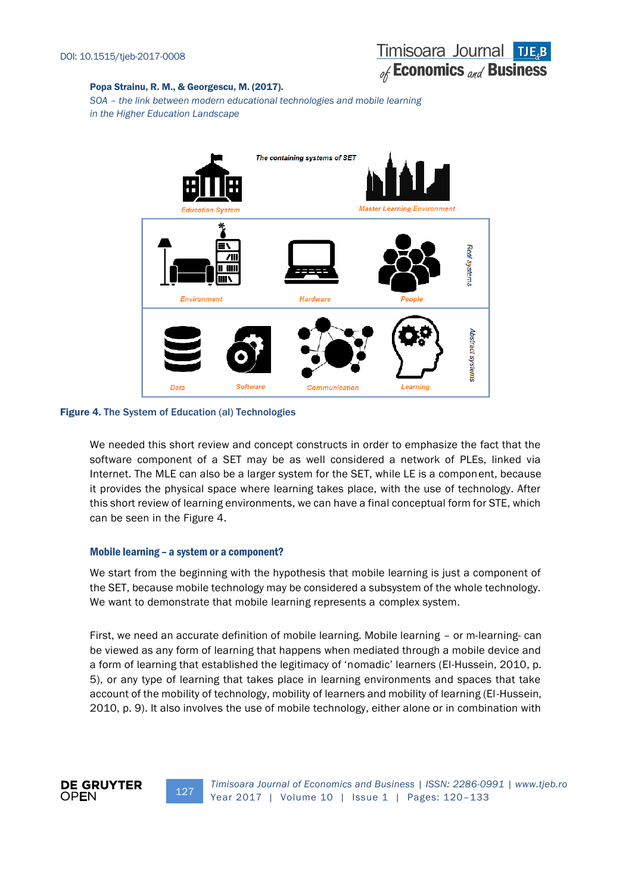*SOA – the link between modern educational technologies and mobile learning in the Higher Education Landscape*



### Figure 4. The System of Education (al) Technologies

We needed this short review and concept constructs in order to emphasize the fact that the software component of a SET may be as well considered a network of PLEs, linked via Internet. The MLE can also be a larger system for the SET, while LE is a component, because it provides the physical space where learning takes place, with the use of technology. After this short review of learning environments, we can have a final conceptual form for STE, which can be seen in the Figure 4.

## Mobile learning – a system or a component?

We start from the beginning with the hypothesis that mobile learning is just a component of the SET, because mobile technology may be considered a subsystem of the whole technology. We want to demonstrate that mobile learning represents a complex system.

First, we need an accurate definition of mobile learning. Mobile learning – or m-learning- can be viewed as any form of learning that happens when mediated through a mobile device and a form of learning that established the legitimacy of 'nomadic' learners (El-Hussein, 2010, p. 5), or any type of learning that takes place in learning environments and spaces that take account of the mobility of technology, mobility of learners and mobility of learning (El-Hussein, 2010, p. 9). It also involves the use of mobile technology, either alone or in combination with



127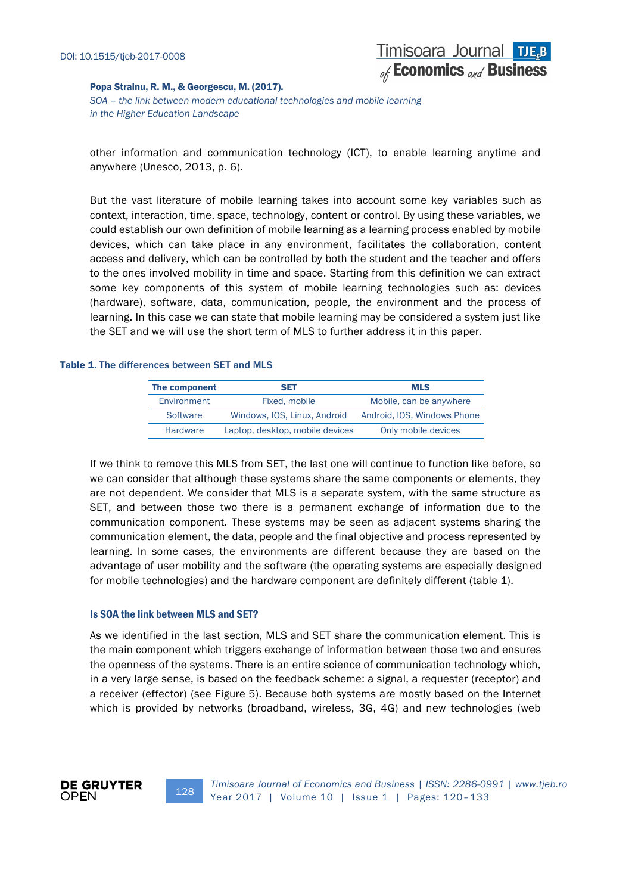*SOA – the link between modern educational technologies and mobile learning in the Higher Education Landscape*

other information and communication technology (ICT), to enable learning anytime and anywhere (Unesco, 2013, p. 6).

But the vast literature of mobile learning takes into account some key variables such as context, interaction, time, space, technology, content or control. By using these variables, we could establish our own definition of mobile learning as a learning process enabled by mobile devices, which can take place in any environment, facilitates the collaboration, content access and delivery, which can be controlled by both the student and the teacher and offers to the ones involved mobility in time and space. Starting from this definition we can extract some key components of this system of mobile learning technologies such as: devices (hardware), software, data, communication, people, the environment and the process of learning. In this case we can state that mobile learning may be considered a system just like the SET and we will use the short term of MLS to further address it in this paper.

## Table 1. The differences between SET and MLS

| The component   | <b>SET</b>                      | <b>MLS</b>                  |
|-----------------|---------------------------------|-----------------------------|
| Environment     | Fixed, mobile                   | Mobile, can be anywhere     |
| Software        | Windows, IOS, Linux, Android    | Android, IOS, Windows Phone |
| <b>Hardware</b> | Laptop, desktop, mobile devices | Only mobile devices         |

If we think to remove this MLS from SET, the last one will continue to function like before, so we can consider that although these systems share the same components or elements, they are not dependent. We consider that MLS is a separate system, with the same structure as SET, and between those two there is a permanent exchange of information due to the communication component. These systems may be seen as adjacent systems sharing the communication element, the data, people and the final objective and process represented by learning. In some cases, the environments are different because they are based on the advantage of user mobility and the software (the operating systems are especially designed for mobile technologies) and the hardware component are definitely different (table 1).

#### Is SOA the link between MLS and SET?

128

As we identified in the last section, MLS and SET share the communication element. This is the main component which triggers exchange of information between those two and ensures the openness of the systems. There is an entire science of communication technology which, in a very large sense, is based on the feedback scheme: a signal, a requester (receptor) and a receiver (effector) (see Figure 5). Because both systems are mostly based on the Internet which is provided by networks (broadband, wireless, 3G, 4G) and new technologies (web

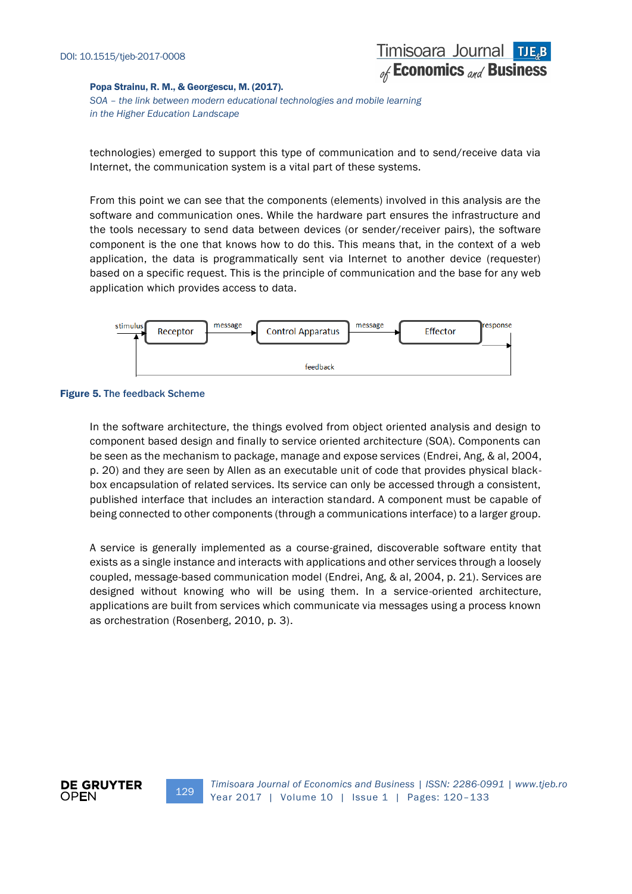*SOA – the link between modern educational technologies and mobile learning in the Higher Education Landscape*

technologies) emerged to support this type of communication and to send/receive data via Internet, the communication system is a vital part of these systems.

From this point we can see that the components (elements) involved in this analysis are the software and communication ones. While the hardware part ensures the infrastructure and the tools necessary to send data between devices (or sender/receiver pairs), the software component is the one that knows how to do this. This means that, in the context of a web application, the data is programmatically sent via Internet to another device (requester) based on a specific request. This is the principle of communication and the base for any web application which provides access to data.



#### Figure 5. The feedback Scheme

In the software architecture, the things evolved from object oriented analysis and design to component based design and finally to service oriented architecture (SOA). Components can be seen as the mechanism to package, manage and expose services (Endrei, Ang, & al, 2004, p. 20) and they are seen by Allen as an executable unit of code that provides physical blackbox encapsulation of related services. Its service can only be accessed through a consistent, published interface that includes an interaction standard. A component must be capable of being connected to other components (through a communications interface) to a larger group.

A service is generally implemented as a course-grained, discoverable software entity that exists as a single instance and interacts with applications and other services through a loosely coupled, message-based communication model (Endrei, Ang, & al, 2004, p. 21). Services are designed without knowing who will be using them. In a service-oriented architecture, applications are built from services which communicate via messages using a process known as orchestration (Rosenberg, 2010, p. 3).



129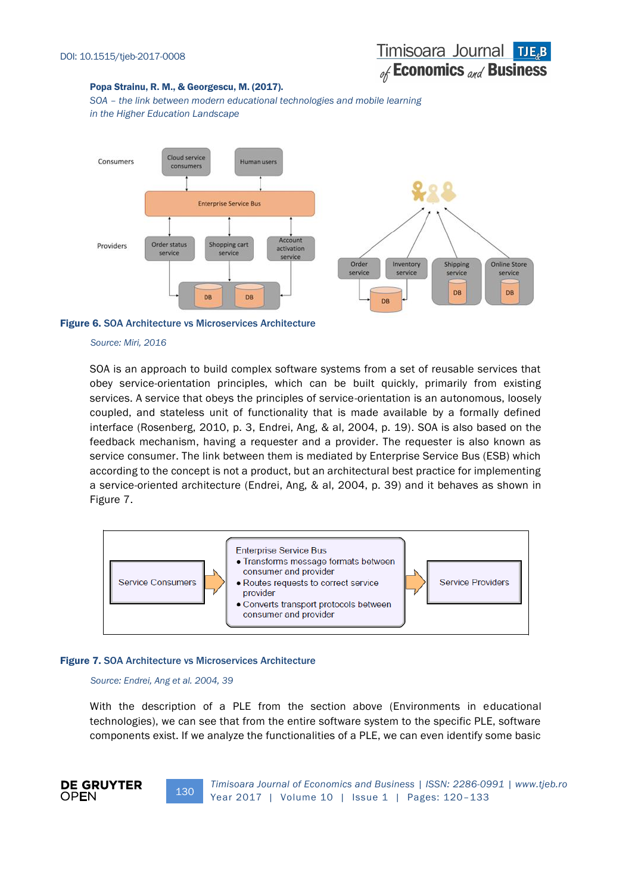*SOA – the link between modern educational technologies and mobile learning in the Higher Education Landscape*



#### Figure 6. SOA Architecture vs Microservices Architecture

#### *Source: Miri, 2016*

SOA is an approach to build complex software systems from a set of reusable services that obey service-orientation principles, which can be built quickly, primarily from existing services. A service that obeys the principles of service-orientation is an autonomous, loosely coupled, and stateless unit of functionality that is made available by a formally defined interface (Rosenberg, 2010, p. 3, Endrei, Ang, & al, 2004, p. 19). SOA is also based on the feedback mechanism, having a requester and a provider. The requester is also known as service consumer. The link between them is mediated by Enterprise Service Bus (ESB) which according to the concept is not a product, but an architectural best practice for implementing a service-oriented architecture (Endrei, Ang, & al, 2004, p. 39) and it behaves as shown in Figure 7.



#### Figure 7. SOA Architecture vs Microservices Architecture

130

#### *Source: Endrei, Ang et al. 2004, 39*

With the description of a PLE from the section above (Environments in educational technologies), we can see that from the entire software system to the specific PLE, software components exist. If we analyze the functionalities of a PLE, we can even identify some basic

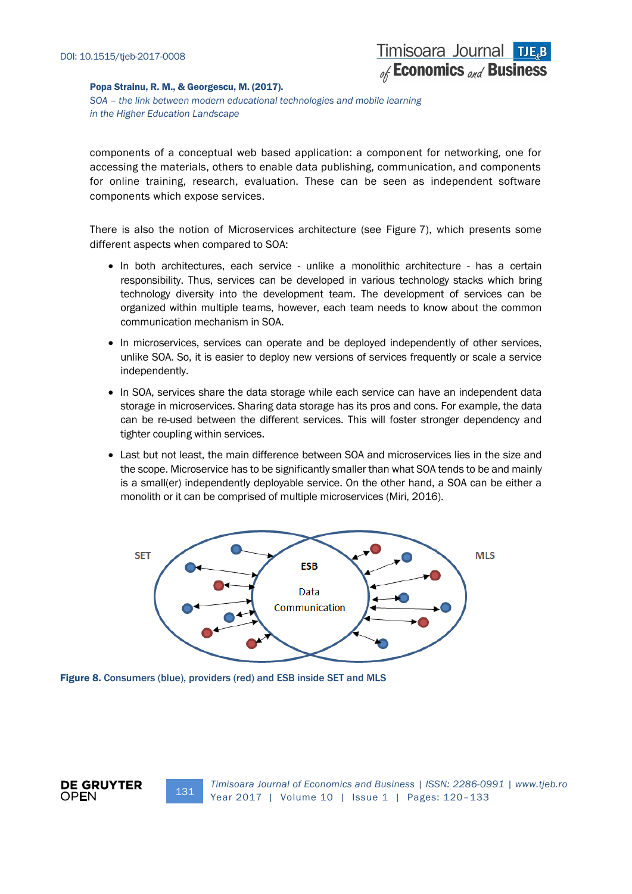*SOA – the link between modern educational technologies and mobile learning in the Higher Education Landscape*

components of a conceptual web based application: a component for networking, one for accessing the materials, others to enable data publishing, communication, and components for online training, research, evaluation. These can be seen as independent software components which expose services.

There is also the notion of Microservices architecture (see Figure 7), which presents some different aspects when compared to SOA:

- In both architectures, each service unlike a monolithic architecture has a certain responsibility. Thus, services can be developed in various technology stacks which bring technology diversity into the development team. The development of services can be organized within multiple teams, however, each team needs to know about the common communication mechanism in SOA.
- In microservices, services can operate and be deployed independently of other services, unlike SOA. So, it is easier to deploy new versions of services frequently or scale a service independently.
- In SOA, services share the data storage while each service can have an independent data storage in microservices. Sharing data storage has its pros and cons. For example, the data can be re-used between the different services. This will foster stronger dependency and tighter coupling within services.
- Last but not least, the main difference between SOA and microservices lies in the size and the scope. Microservice has to be significantly smaller than what SOA tends to be and mainly is a small(er) independently deployable service. On the other hand, a SOA can be either a monolith or it can be comprised of multiple microservices (Miri, 2016).



Figure 8. Consumers (blue), providers (red) and ESB inside SET and MLS

131

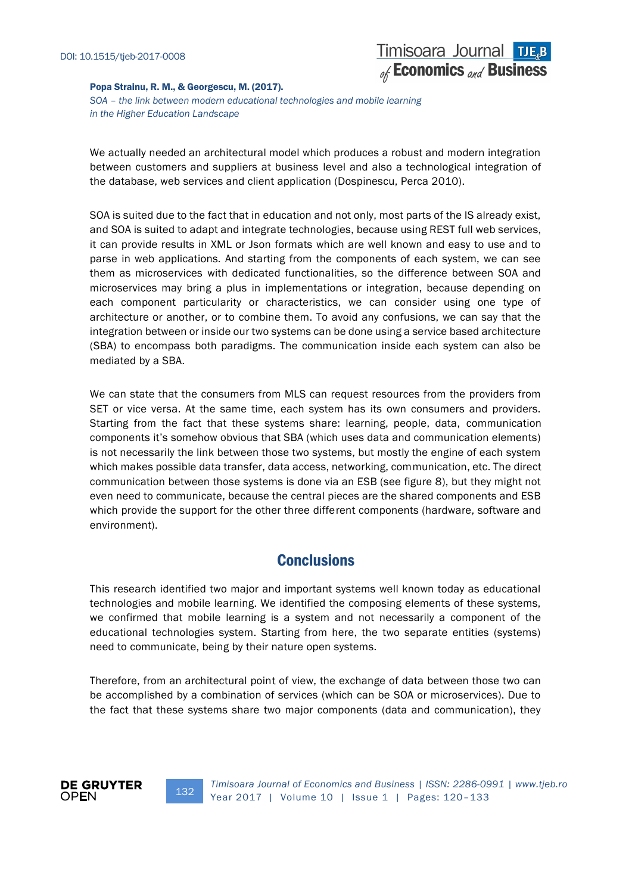*SOA – the link between modern educational technologies and mobile learning in the Higher Education Landscape*

We actually needed an architectural model which produces a robust and modern integration between customers and suppliers at business level and also a technological integration of the database, web services and client application (Dospinescu, Perca 2010).

SOA is suited due to the fact that in education and not only, most parts of the IS already exist, and SOA is suited to adapt and integrate technologies, because using REST full web services, it can provide results in XML or Json formats which are well known and easy to use and to parse in web applications. And starting from the components of each system, we can see them as microservices with dedicated functionalities, so the difference between SOA and microservices may bring a plus in implementations or integration, because depending on each component particularity or characteristics, we can consider using one type of architecture or another, or to combine them. To avoid any confusions, we can say that the integration between or inside our two systems can be done using a service based architecture (SBA) to encompass both paradigms. The communication inside each system can also be mediated by a SBA.

We can state that the consumers from MLS can request resources from the providers from SET or vice versa. At the same time, each system has its own consumers and providers. Starting from the fact that these systems share: learning, people, data, communication components it's somehow obvious that SBA (which uses data and communication elements) is not necessarily the link between those two systems, but mostly the engine of each system which makes possible data transfer, data access, networking, communication, etc. The direct communication between those systems is done via an ESB (see figure 8), but they might not even need to communicate, because the central pieces are the shared components and ESB which provide the support for the other three different components (hardware, software and environment).

# **Conclusions**

This research identified two major and important systems well known today as educational technologies and mobile learning. We identified the composing elements of these systems, we confirmed that mobile learning is a system and not necessarily a component of the educational technologies system. Starting from here, the two separate entities (systems) need to communicate, being by their nature open systems.

Therefore, from an architectural point of view, the exchange of data between those two can be accomplished by a combination of services (which can be SOA or microservices). Due to the fact that these systems share two major components (data and communication), they



132